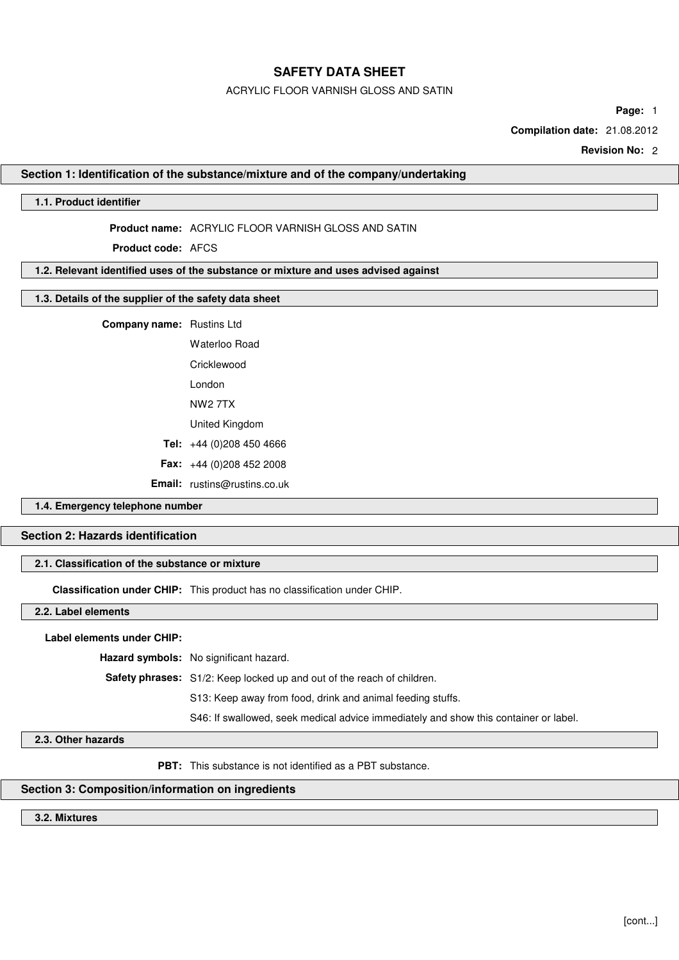### ACRYLIC FLOOR VARNISH GLOSS AND SATIN

**Page:** 1

**Compilation date:** 21.08.2012

**Revision No:** 2

### **Section 1: Identification of the substance/mixture and of the company/undertaking**

## **1.1. Product identifier**

### **Product name:** ACRYLIC FLOOR VARNISH GLOSS AND SATIN

**Product code:** AFCS

## **1.2. Relevant identified uses of the substance or mixture and uses advised against**

## **1.3. Details of the supplier of the safety data sheet**

## **Company name:** Rustins Ltd

Waterloo Road **Cricklewood** London NW2 7TX United Kingdom **Tel:** +44 (0)208 450 4666 **Fax:** +44 (0)208 452 2008

**Email:** rustins@rustins.co.uk

## **1.4. Emergency telephone number**

## **Section 2: Hazards identification**

## **2.1. Classification of the substance or mixture**

**Classification under CHIP:** This product has no classification under CHIP.

### **2.2. Label elements**

### **Label elements under CHIP:**

**Hazard symbols:** No significant hazard.

**Safety phrases:** S1/2: Keep locked up and out of the reach of children.

S13: Keep away from food, drink and animal feeding stuffs.

S46: If swallowed, seek medical advice immediately and show this container or label.

### **2.3. Other hazards**

**PBT:** This substance is not identified as a PBT substance.

## **Section 3: Composition/information on ingredients**

**3.2. Mixtures**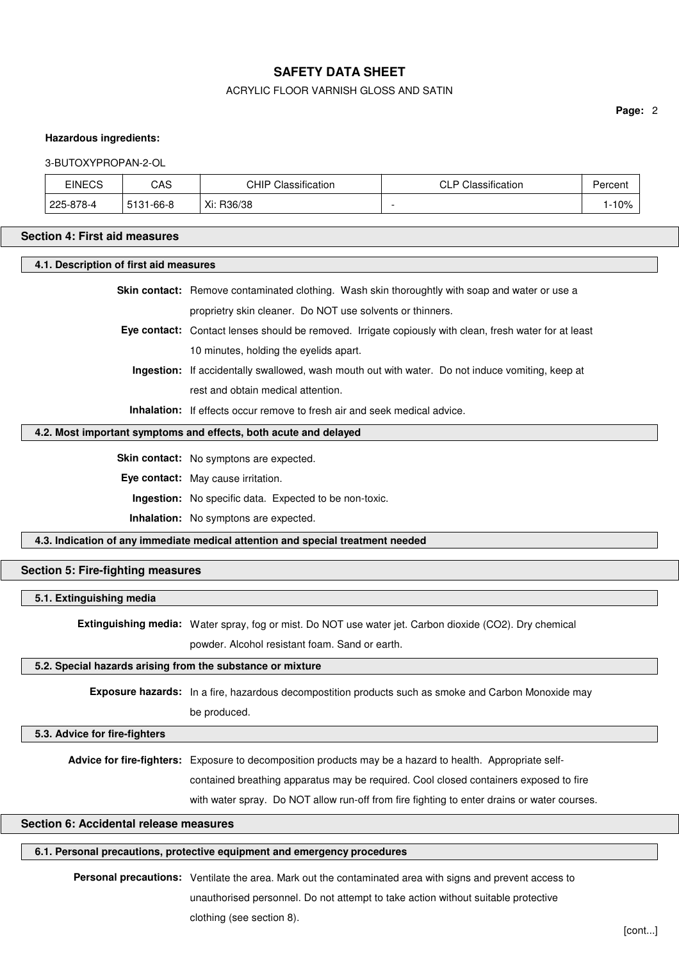## ACRYLIC FLOOR VARNISH GLOSS AND SATIN

**Page:** 2

### **Hazardous ingredients:**

#### 3-BUTOXYPROPAN-2-OL

| <b>EINECS</b> | CAS                    | .<br>்பட<br>$\sim$<br>Classification<br>unii | Classification<br>ם ור<br>◡∟ | Percent |
|---------------|------------------------|----------------------------------------------|------------------------------|---------|
| 225-878-4     | E404<br>$-66-8$<br>ວເວ | Xi: R36/38                                   |                              | 10%     |

#### **Section 4: First aid measures**

**4.1. Description of first aid measures**

|                                                           |  | <b>Skin contact:</b> Remove contaminated clothing. Wash skin thoroughtly with soap and water or use a |
|-----------------------------------------------------------|--|-------------------------------------------------------------------------------------------------------|
| proprietry skin cleaner. Do NOT use solvents or thinners. |  |                                                                                                       |

**Eye contact:** Contact lenses should be removed. Irrigate copiously with clean, fresh water for at least 10 minutes, holding the eyelids apart.

**Ingestion:** If accidentally swallowed, wash mouth out with water. Do not induce vomiting, keep at rest and obtain medical attention.

**Inhalation:** If effects occur remove to fresh air and seek medical advice.

## **4.2. Most important symptoms and effects, both acute and delayed**

**Skin contact:** No symptons are expected.

**Eye contact:** May cause irritation.

**Ingestion:** No specific data. Expected to be non-toxic.

**Inhalation:** No symptons are expected.

**4.3. Indication of any immediate medical attention and special treatment needed**

### **Section 5: Fire-fighting measures**

#### **5.1. Extinguishing media**

**Extinguishing media:** Water spray, fog or mist. Do NOT use water jet. Carbon dioxide (CO2). Dry chemical powder. Alcohol resistant foam. Sand or earth.

## **5.2. Special hazards arising from the substance or mixture**

**Exposure hazards:** In a fire, hazardous decompostition products such as smoke and Carbon Monoxide may be produced.

### **5.3. Advice for fire-fighters**

**Advice for fire-fighters:** Exposure to decomposition products may be a hazard to health. Appropriate self-

contained breathing apparatus may be required. Cool closed containers exposed to fire

with water spray. Do NOT allow run-off from fire fighting to enter drains or water courses.

### **Section 6: Accidental release measures**

#### **6.1. Personal precautions, protective equipment and emergency procedures**

**Personal precautions:** Ventilate the area. Mark out the contaminated area with signs and prevent access to unauthorised personnel. Do not attempt to take action without suitable protective clothing (see section 8).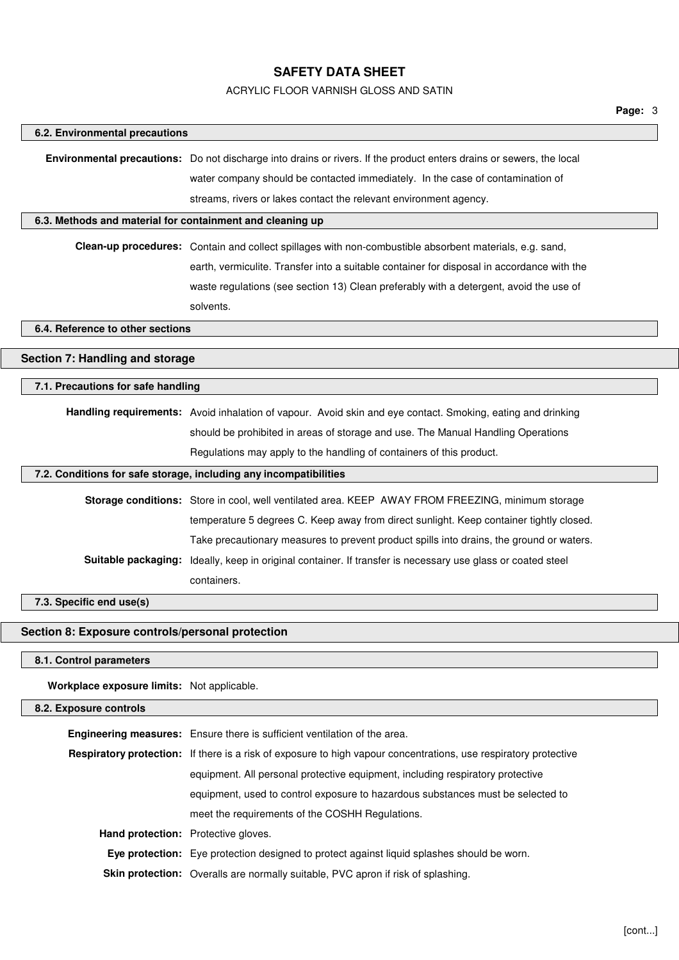## ACRYLIC FLOOR VARNISH GLOSS AND SATIN

| 6.2. Environmental precautions                            |                                                                                                                      |  |  |  |  |
|-----------------------------------------------------------|----------------------------------------------------------------------------------------------------------------------|--|--|--|--|
|                                                           | Environmental precautions: Do not discharge into drains or rivers. If the product enters drains or sewers, the local |  |  |  |  |
|                                                           | water company should be contacted immediately. In the case of contamination of                                       |  |  |  |  |
|                                                           | streams, rivers or lakes contact the relevant environment agency.                                                    |  |  |  |  |
| 6.3. Methods and material for containment and cleaning up |                                                                                                                      |  |  |  |  |
|                                                           | Clean-up procedures: Contain and collect spillages with non-combustible absorbent materials, e.g. sand,              |  |  |  |  |
|                                                           | earth, vermiculite. Transfer into a suitable container for disposal in accordance with the                           |  |  |  |  |
|                                                           | waste regulations (see section 13) Clean preferably with a detergent, avoid the use of                               |  |  |  |  |
|                                                           | solvents.                                                                                                            |  |  |  |  |
| 6.4. Reference to other sections                          |                                                                                                                      |  |  |  |  |
| Section 7: Handling and storage                           |                                                                                                                      |  |  |  |  |
| 7.1. Precautions for safe handling                        |                                                                                                                      |  |  |  |  |
|                                                           | Handling requirements: Avoid inhalation of vapour. Avoid skin and eye contact. Smoking, eating and drinking          |  |  |  |  |
|                                                           | should be prohibited in areas of storage and use. The Manual Handling Operations                                     |  |  |  |  |
|                                                           | Regulations may apply to the handling of containers of this product.                                                 |  |  |  |  |
|                                                           | 7.2. Conditions for safe storage, including any incompatibilities                                                    |  |  |  |  |
|                                                           | Storage conditions: Store in cool, well ventilated area. KEEP AWAY FROM FREEZING, minimum storage                    |  |  |  |  |
|                                                           | temperature 5 degrees C. Keep away from direct sunlight. Keep container tightly closed.                              |  |  |  |  |
|                                                           | Take precautionary measures to prevent product spills into drains, the ground or waters.                             |  |  |  |  |
|                                                           | Suitable packaging: Ideally, keep in original container. If transfer is necessary use glass or coated steel          |  |  |  |  |
|                                                           | containers.                                                                                                          |  |  |  |  |
| 7.3. Specific end use(s)                                  |                                                                                                                      |  |  |  |  |
| Section 8: Exposure controls/personal protection          |                                                                                                                      |  |  |  |  |
| 8.1. Control parameters                                   |                                                                                                                      |  |  |  |  |
| Workplace exposure limits: Not applicable.                |                                                                                                                      |  |  |  |  |
| 8.2. Exposure controls                                    |                                                                                                                      |  |  |  |  |
|                                                           | Engineering measures: Ensure there is sufficient ventilation of the area.                                            |  |  |  |  |
|                                                           | Respiratory protection: If there is a risk of exposure to high vapour concentrations, use respiratory protective     |  |  |  |  |
|                                                           | equipment. All personal protective equipment, including respiratory protective                                       |  |  |  |  |
|                                                           | equipment, used to control exposure to hazardous substances must be selected to                                      |  |  |  |  |
|                                                           | meet the requirements of the COSHH Regulations.                                                                      |  |  |  |  |
|                                                           | Hand protection: Protective gloves.                                                                                  |  |  |  |  |
|                                                           | Eye protection: Eye protection designed to protect against liquid splashes should be worn.                           |  |  |  |  |
|                                                           | Skin protection: Overalls are normally suitable, PVC apron if risk of splashing.                                     |  |  |  |  |
|                                                           |                                                                                                                      |  |  |  |  |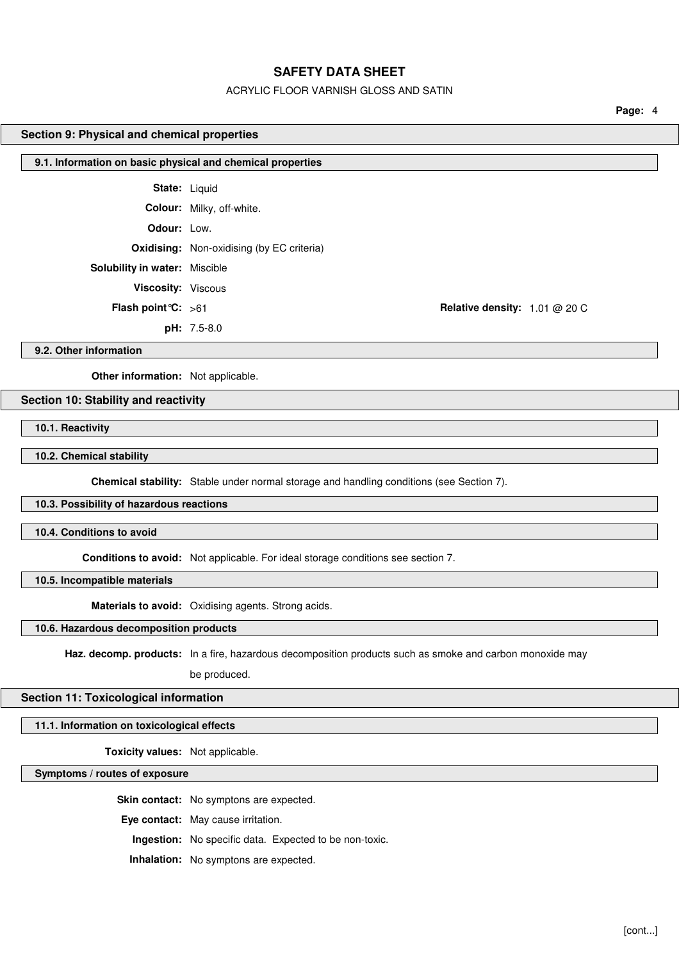## ACRYLIC FLOOR VARNISH GLOSS AND SATIN

**Page:** 4

## **Section 9: Physical and chemical properties**

| 9.1. Information on basic physical and chemical properties |                                                  |  |  |  |
|------------------------------------------------------------|--------------------------------------------------|--|--|--|
|                                                            |                                                  |  |  |  |
|                                                            | <b>State: Liquid</b>                             |  |  |  |
|                                                            |                                                  |  |  |  |
|                                                            | <b>Colour:</b> Milky, off-white.                 |  |  |  |
| <b>Odour:</b> Low.                                         |                                                  |  |  |  |
|                                                            |                                                  |  |  |  |
|                                                            | <b>Oxidising:</b> Non-oxidising (by EC criteria) |  |  |  |
| <b>Solubility in water: Miscible</b>                       |                                                  |  |  |  |

**Viscosity:** Viscous

**pH:** 7.5-8.0

**Flash point °C:**  $>61$  **Relative density:** 1.01 @ 20 C

**9.2. Other information**

**Other information:** Not applicable.

## **Section 10: Stability and reactivity**

**10.1. Reactivity**

**10.2. Chemical stability**

**Chemical stability:** Stable under normal storage and handling conditions (see Section 7).

## **10.3. Possibility of hazardous reactions**

**10.4. Conditions to avoid**

**Conditions to avoid:** Not applicable. For ideal storage conditions see section 7.

**10.5. Incompatible materials**

**Materials to avoid:** Oxidising agents. Strong acids.

**10.6. Hazardous decomposition products**

**Haz. decomp. products:** In a fire, hazardous decomposition products such as smoke and carbon monoxide may

be produced.

### **Section 11: Toxicological information**

**11.1. Information on toxicological effects**

**Toxicity values:** Not applicable.

**Symptoms / routes of exposure**

**Skin contact:** No symptons are expected. **Eye contact:** May cause irritation. **Ingestion:** No specific data. Expected to be non-toxic. **Inhalation:** No symptons are expected.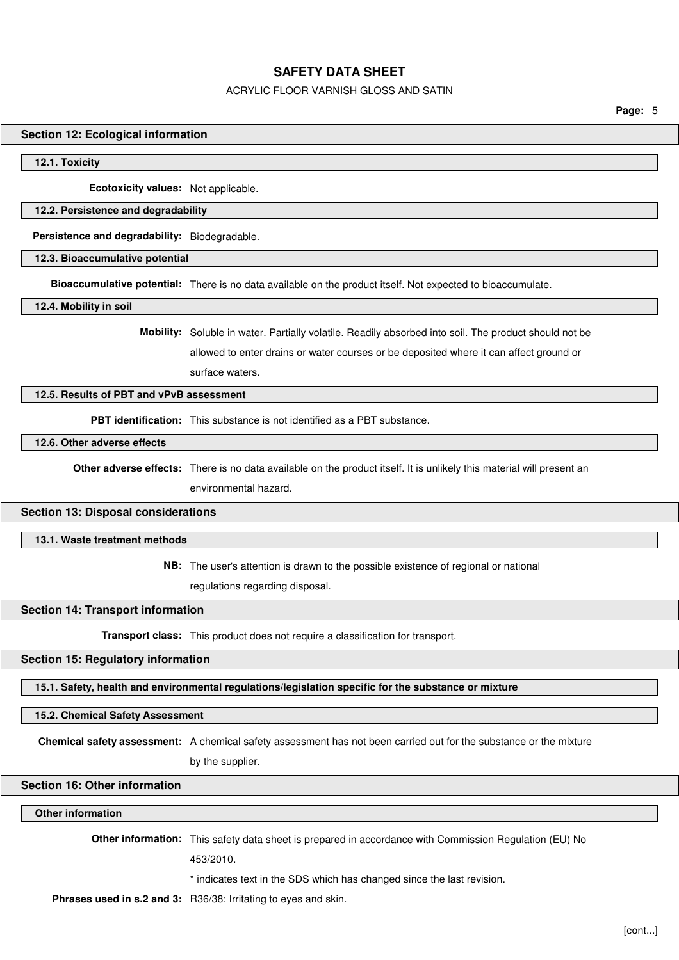## ACRYLIC FLOOR VARNISH GLOSS AND SATIN

**Page:** 5

#### **Section 12: Ecological information**

#### **12.1. Toxicity**

**Ecotoxicity values:** Not applicable.

### **12.2. Persistence and degradability**

**Persistence and degradability:** Biodegradable.

#### **12.3. Bioaccumulative potential**

**Bioaccumulative potential:** There is no data available on the product itself. Not expected to bioaccumulate.

**12.4. Mobility in soil**

**Mobility:** Soluble in water. Partially volatile. Readily absorbed into soil. The product should not be allowed to enter drains or water courses or be deposited where it can affect ground or

surface waters.

## **12.5. Results of PBT and vPvB assessment**

**PBT identification:** This substance is not identified as a PBT substance.

## **12.6. Other adverse effects**

**Other adverse effects:** There is no data available on the product itself. It is unlikely this material will present an

environmental hazard.

### **Section 13: Disposal considerations**

#### **13.1. Waste treatment methods**

**NB:** The user's attention is drawn to the possible existence of regional or national

regulations regarding disposal.

### **Section 14: Transport information**

**Transport class:** This product does not require a classification for transport.

#### **Section 15: Regulatory information**

**15.1. Safety, health and environmental regulations/legislation specific for the substance or mixture**

#### **15.2. Chemical Safety Assessment**

**Chemical safety assessment:** A chemical safety assessment has not been carried out for the substance or the mixture

by the supplier.

### **Section 16: Other information**

### **Other information**

**Other information:** This safety data sheet is prepared in accordance with Commission Regulation (EU) No

453/2010.

\* indicates text in the SDS which has changed since the last revision.

**Phrases used in s.2 and 3:** R36/38: Irritating to eyes and skin.